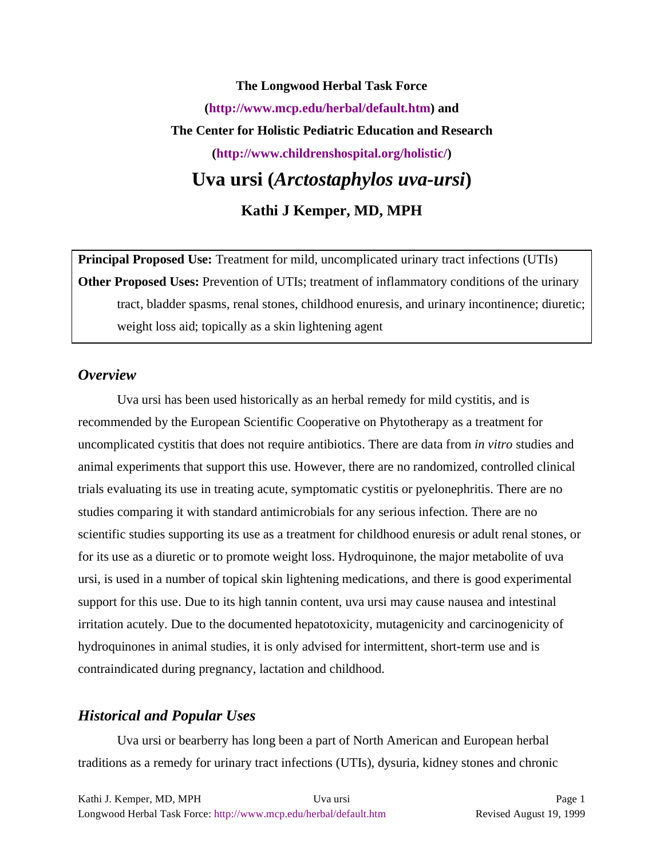# **The Longwood Herbal Task Force (http://www.mcp.edu/herbal/default.htm) and The Center for Holistic Pediatric Education and Research (http://www.childrenshospital.org/holistic/) Uva ursi (***Arctostaphylos uva-ursi***) Kathi J Kemper, MD, MPH**

**Principal Proposed Use:** Treatment for mild, uncomplicated urinary tract infections (UTIs) **Other Proposed Uses:** Prevention of UTIs; treatment of inflammatory conditions of the urinary tract, bladder spasms, renal stones, childhood enuresis, and urinary incontinence; diuretic; weight loss aid; topically as a skin lightening agent

#### *Overview*

Uva ursi has been used historically as an herbal remedy for mild cystitis, and is recommended by the European Scientific Cooperative on Phytotherapy as a treatment for uncomplicated cystitis that does not require antibiotics. There are data from *in vitro* studies and animal experiments that support this use. However, there are no randomized, controlled clinical trials evaluating its use in treating acute, symptomatic cystitis or pyelonephritis. There are no studies comparing it with standard antimicrobials for any serious infection. There are no scientific studies supporting its use as a treatment for childhood enuresis or adult renal stones, or for its use as a diuretic or to promote weight loss. Hydroquinone, the major metabolite of uva ursi, is used in a number of topical skin lightening medications, and there is good experimental support for this use. Due to its high tannin content, uva ursi may cause nausea and intestinal irritation acutely. Due to the documented hepatotoxicity, mutagenicity and carcinogenicity of hydroquinones in animal studies, it is only advised for intermittent, short-term use and is contraindicated during pregnancy, lactation and childhood.

#### *Historical and Popular Uses*

Uva ursi or bearberry has long been a part of North American and European herbal traditions as a remedy for urinary tract infections (UTIs), dysuria, kidney stones and chronic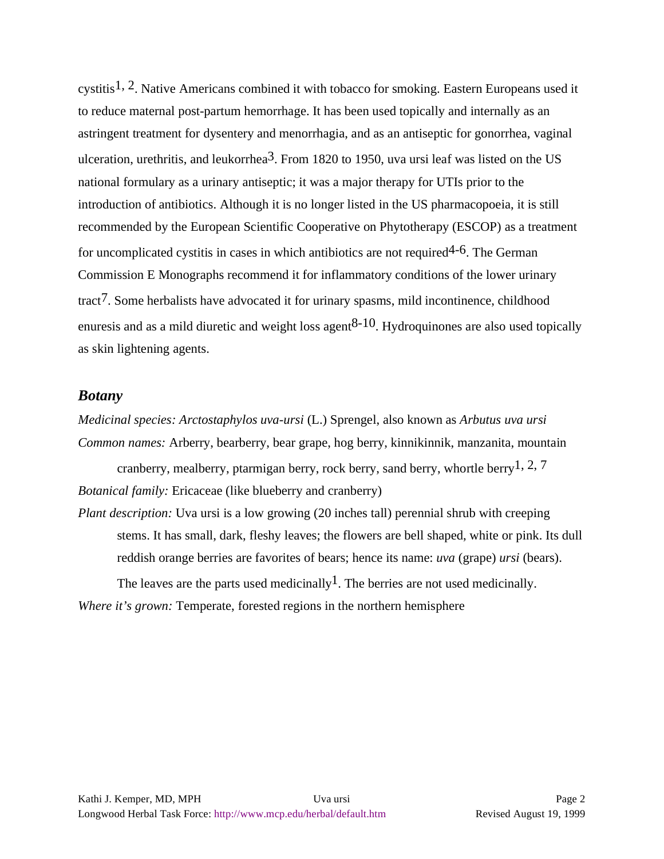cystitis1, 2. Native Americans combined it with tobacco for smoking. Eastern Europeans used it to reduce maternal post-partum hemorrhage. It has been used topically and internally as an astringent treatment for dysentery and menorrhagia, and as an antiseptic for gonorrhea, vaginal ulceration, urethritis, and leukorrhea<sup>3</sup>. From 1820 to 1950, uva ursi leaf was listed on the US national formulary as a urinary antiseptic; it was a major therapy for UTIs prior to the introduction of antibiotics. Although it is no longer listed in the US pharmacopoeia, it is still recommended by the European Scientific Cooperative on Phytotherapy (ESCOP) as a treatment for uncomplicated cystitis in cases in which antibiotics are not required  $4-6$ . The German Commission E Monographs recommend it for inflammatory conditions of the lower urinary tract<sup>7</sup>. Some herbalists have advocated it for urinary spasms, mild incontinence, childhood enuresis and as a mild diuretic and weight loss agent  $8-10$ . Hydroquinones are also used topically as skin lightening agents.

#### *Botany*

*Medicinal species: Arctostaphylos uva-ursi* (L.) Sprengel, also known as *Arbutus uva ursi Common names:* Arberry, bearberry, bear grape, hog berry, kinnikinnik, manzanita, mountain

cranberry, mealberry, ptarmigan berry, rock berry, sand berry, whortle berry<sup>1</sup>, 2, 7 *Botanical family:* Ericaceae (like blueberry and cranberry)

*Plant description:* Uva ursi is a low growing (20 inches tall) perennial shrub with creeping stems. It has small, dark, fleshy leaves; the flowers are bell shaped, white or pink. Its dull reddish orange berries are favorites of bears; hence its name: *uva* (grape) *ursi* (bears).

The leaves are the parts used medicinally<sup>1</sup>. The berries are not used medicinally. *Where it's grown:* Temperate, forested regions in the northern hemisphere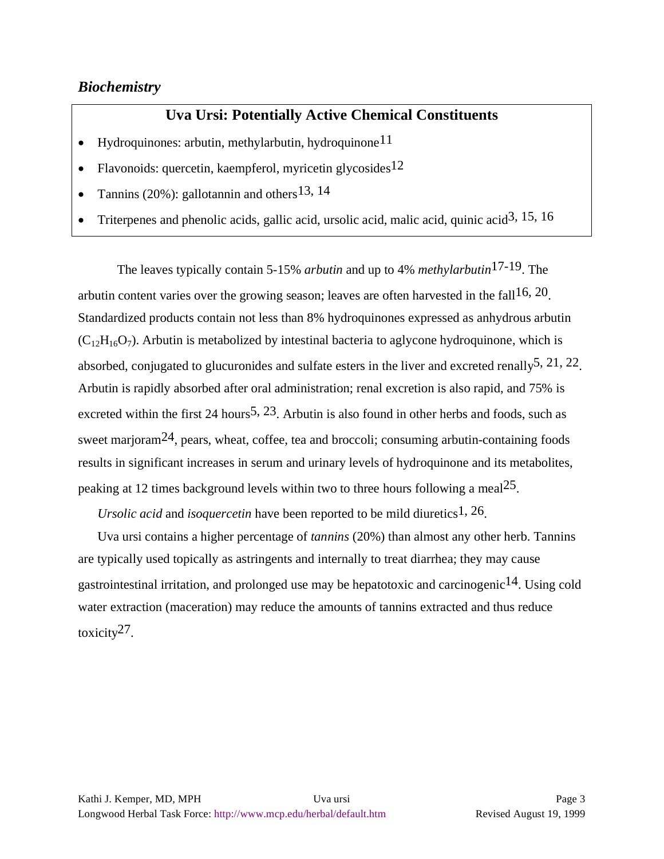## *Biochemistry*

# **Uva Ursi: Potentially Active Chemical Constituents**

- Hydroquinones: arbutin, methylarbutin, hydroquinone<sup>11</sup>
- Flavonoids: quercetin, kaempferol, myricetin glycosides<sup>12</sup>
- Tannins (20%): gallotannin and others  $13, 14$
- Triterpenes and phenolic acids, gallic acid, ursolic acid, malic acid, quinic acid3, 15, 16

The leaves typically contain 5-15% *arbutin* and up to 4% *methylarbutin*17-19. The arbutin content varies over the growing season; leaves are often harvested in the fall<sup>16, 20</sup>. Standardized products contain not less than 8% hydroquinones expressed as anhydrous arbutin  $(C_{12}H_{16}O_7)$ . Arbutin is metabolized by intestinal bacteria to aglycone hydroquinone, which is absorbed, conjugated to glucuronides and sulfate esters in the liver and excreted renally<sup>5, 21, 22</sup>. Arbutin is rapidly absorbed after oral administration; renal excretion is also rapid, and 75% is excreted within the first 24 hours<sup>5, 23</sup>. Arbutin is also found in other herbs and foods, such as sweet marjoram<sup>24</sup>, pears, wheat, coffee, tea and broccoli; consuming arbutin-containing foods results in significant increases in serum and urinary levels of hydroquinone and its metabolites, peaking at 12 times background levels within two to three hours following a meal<sup>25</sup>.

*Ursolic acid* and *isoquercetin* have been reported to be mild diuretics<sup>1, 26</sup>.

Uva ursi contains a higher percentage of *tannins* (20%) than almost any other herb. Tannins are typically used topically as astringents and internally to treat diarrhea; they may cause gastrointestinal irritation, and prolonged use may be hepatotoxic and carcinogenic<sup>14</sup>. Using cold water extraction (maceration) may reduce the amounts of tannins extracted and thus reduce toxicity27.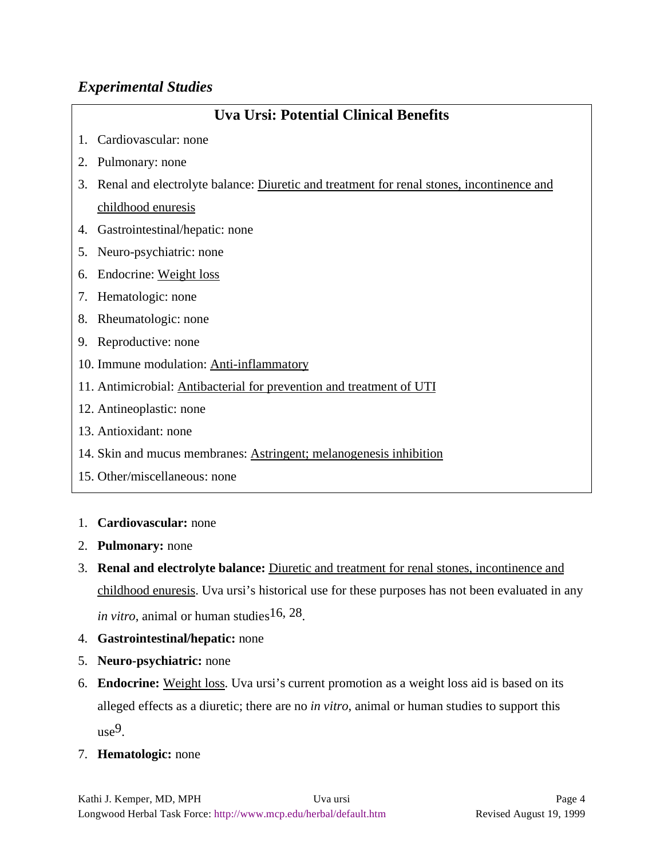# *Experimental Studies*

| <b>Uva Ursi: Potential Clinical Benefits</b> |                                                                                             |
|----------------------------------------------|---------------------------------------------------------------------------------------------|
|                                              | 1. Cardiovascular: none                                                                     |
|                                              | 2. Pulmonary: none                                                                          |
|                                              | 3. Renal and electrolyte balance: Diuretic and treatment for renal stones, incontinence and |
|                                              | childhood enuresis                                                                          |
|                                              | 4. Gastrointestinal/hepatic: none                                                           |
|                                              | 5. Neuro-psychiatric: none                                                                  |
|                                              | 6. Endocrine: Weight loss                                                                   |
|                                              | 7. Hematologic: none                                                                        |
|                                              | 8. Rheumatologic: none                                                                      |
|                                              | 9. Reproductive: none                                                                       |
|                                              | 10. Immune modulation: Anti-inflammatory                                                    |
|                                              | 11. Antimicrobial: Antibacterial for prevention and treatment of UTI                        |
|                                              | 12. Antineoplastic: none                                                                    |
|                                              | 13. Antioxidant: none                                                                       |
|                                              | 14. Skin and mucus membranes: Astringent; melanogenesis inhibition                          |
|                                              | 15. Other/miscellaneous: none                                                               |
|                                              |                                                                                             |

#### 1. **Cardiovascular:** none

- 2. **Pulmonary:** none
- 3. **Renal and electrolyte balance:** Diuretic and treatment for renal stones, incontinence and childhood enuresis. Uva ursi's historical use for these purposes has not been evaluated in any *in vitro*, animal or human studies<sup>16, 28</sup>.
- 4. **Gastrointestinal/hepatic:** none
- 5. **Neuro-psychiatric:** none
- 6. **Endocrine:** Weight loss. Uva ursi's current promotion as a weight loss aid is based on its alleged effects as a diuretic; there are no *in vitro*, animal or human studies to support this use9.
- 7. **Hematologic:** none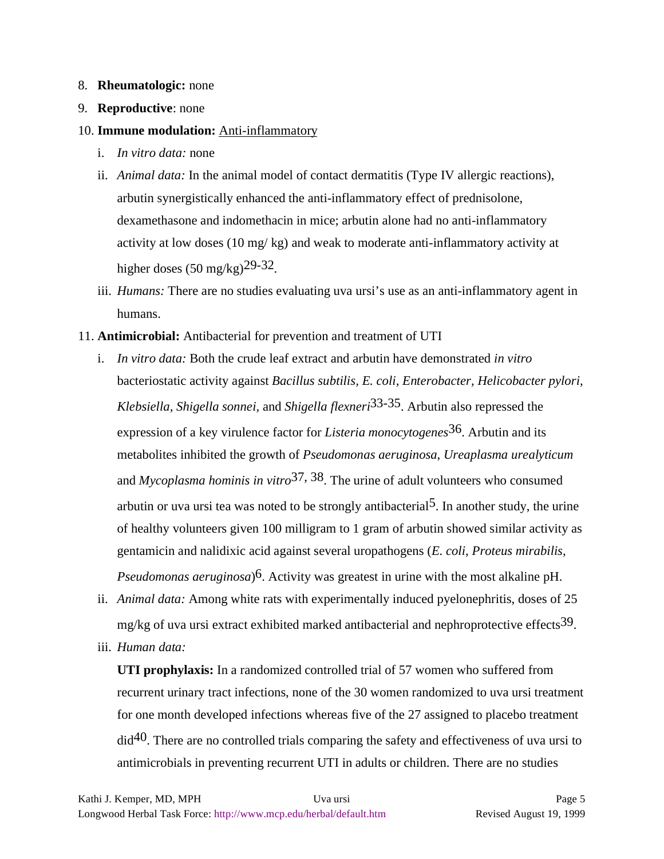#### 8. **Rheumatologic:** none

9. **Reproductive**: none

#### 10. **Immune modulation:** Anti-inflammatory

- i. *In vitro data:* none
- ii. *Animal data:* In the animal model of contact dermatitis (Type IV allergic reactions), arbutin synergistically enhanced the anti-inflammatory effect of prednisolone, dexamethasone and indomethacin in mice; arbutin alone had no anti-inflammatory activity at low doses (10 mg/ kg) and weak to moderate anti-inflammatory activity at higher doses  $(50 \text{ mg/kg})^{29-32}$ .
- iii. *Humans:* There are no studies evaluating uva ursi's use as an anti-inflammatory agent in humans.
- 11. **Antimicrobial:** Antibacterial for prevention and treatment of UTI
	- i. *In vitro data:* Both the crude leaf extract and arbutin have demonstrated *in vitro* bacteriostatic activity against *Bacillus subtilis, E. coli, Enterobacter, Helicobacter pylori, Klebsiella, Shigella sonnei,* and *Shigella flexneri*33-35. Arbutin also repressed the expression of a key virulence factor for *Listeria monocytogenes*36. Arbutin and its metabolites inhibited the growth of *Pseudomonas aeruginosa*, *Ureaplasma urealyticum* and *Mycoplasma hominis in vitro*37, 38. The urine of adult volunteers who consumed arbutin or uva ursi tea was noted to be strongly antibacterial<sup>5</sup>. In another study, the urine of healthy volunteers given 100 milligram to 1 gram of arbutin showed similar activity as gentamicin and nalidixic acid against several uropathogens (*E. coli, Proteus mirabilis, Pseudomonas aeruginosa*)6. Activity was greatest in urine with the most alkaline pH.
	- ii. *Animal data:* Among white rats with experimentally induced pyelonephritis, doses of 25 mg/kg of uva ursi extract exhibited marked antibacterial and nephroprotective effects<sup>39</sup>.
	- iii. *Human data:*

**UTI prophylaxis:** In a randomized controlled trial of 57 women who suffered from recurrent urinary tract infections, none of the 30 women randomized to uva ursi treatment for one month developed infections whereas five of the 27 assigned to placebo treatment did40. There are no controlled trials comparing the safety and effectiveness of uva ursi to antimicrobials in preventing recurrent UTI in adults or children. There are no studies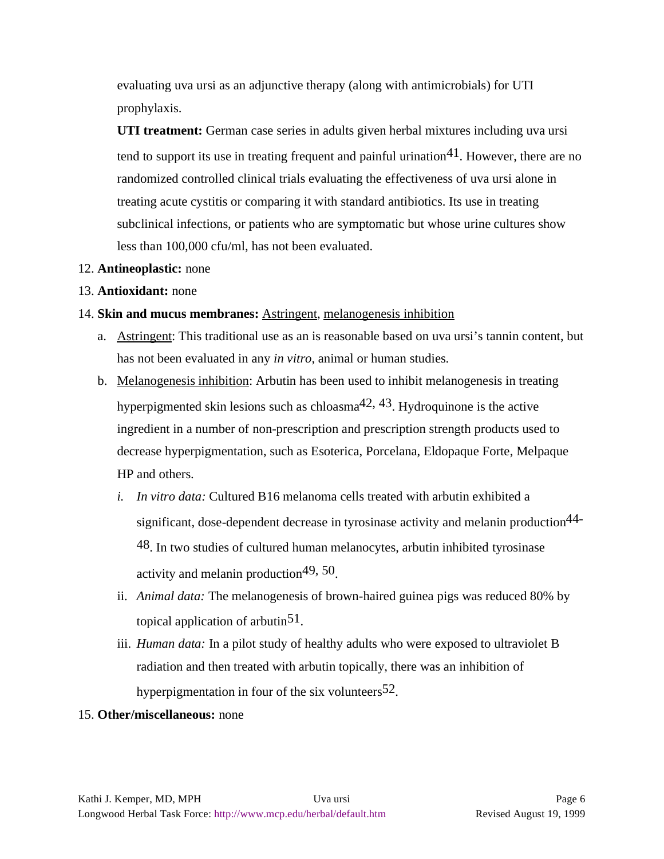evaluating uva ursi as an adjunctive therapy (along with antimicrobials) for UTI prophylaxis.

**UTI treatment:** German case series in adults given herbal mixtures including uva ursi tend to support its use in treating frequent and painful urination  $41$ . However, there are no randomized controlled clinical trials evaluating the effectiveness of uva ursi alone in treating acute cystitis or comparing it with standard antibiotics. Its use in treating subclinical infections, or patients who are symptomatic but whose urine cultures show less than 100,000 cfu/ml, has not been evaluated.

#### 12. **Antineoplastic:** none

#### 13. **Antioxidant:** none

#### 14. **Skin and mucus membranes:** Astringent, melanogenesis inhibition

- a. Astringent: This traditional use as an is reasonable based on uva ursi's tannin content, but has not been evaluated in any *in vitro*, animal or human studies.
- b. Melanogenesis inhibition: Arbutin has been used to inhibit melanogenesis in treating hyperpigmented skin lesions such as chloasma<sup>42, 43</sup>. Hydroquinone is the active ingredient in a number of non-prescription and prescription strength products used to decrease hyperpigmentation, such as Esoterica, Porcelana, Eldopaque Forte, Melpaque HP and others.
	- *i. In vitro data:* Cultured B16 melanoma cells treated with arbutin exhibited a significant, dose-dependent decrease in tyrosinase activity and melanin production44- 48. In two studies of cultured human melanocytes, arbutin inhibited tyrosinase activity and melanin production49, 50.
	- ii. *Animal data:* The melanogenesis of brown-haired guinea pigs was reduced 80% by topical application of arbutin<sup>51</sup>.
	- iii. *Human data:* In a pilot study of healthy adults who were exposed to ultraviolet B radiation and then treated with arbutin topically, there was an inhibition of hyperpigmentation in four of the six volunteers  $52$ .

#### 15. **Other/miscellaneous:** none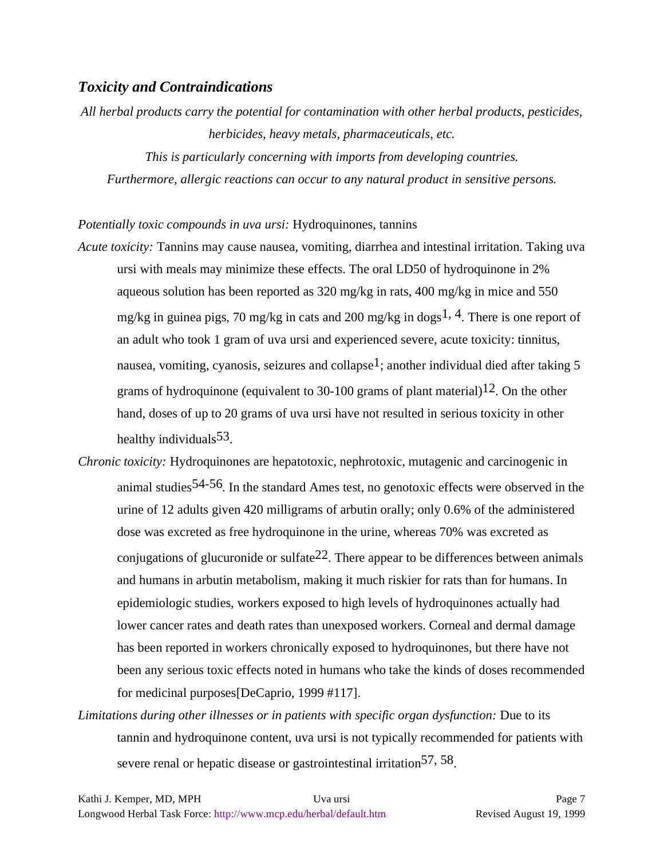#### *Toxicity and Contraindications*

*All herbal products carry the potential for contamination with other herbal products, pesticides, herbicides, heavy metals, pharmaceuticals, etc.*

*This is particularly concerning with imports from developing countries. Furthermore, allergic reactions can occur to any natural product in sensitive persons.*

#### *Potentially toxic compounds in uva ursi:* Hydroquinones, tannins

- *Acute toxicity:* Tannins may cause nausea, vomiting, diarrhea and intestinal irritation. Taking uva ursi with meals may minimize these effects. The oral LD50 of hydroquinone in 2% aqueous solution has been reported as 320 mg/kg in rats, 400 mg/kg in mice and 550 mg/kg in guinea pigs, 70 mg/kg in cats and 200 mg/kg in dogs<sup>1, 4</sup>. There is one report of an adult who took 1 gram of uva ursi and experienced severe, acute toxicity: tinnitus, nausea, vomiting, cyanosis, seizures and collapse<sup>1</sup>; another individual died after taking 5 grams of hydroquinone (equivalent to 30-100 grams of plant material)<sup>12</sup>. On the other hand, doses of up to 20 grams of uva ursi have not resulted in serious toxicity in other healthy individuals  $53$ .
- *Chronic toxicity:* Hydroquinones are hepatotoxic, nephrotoxic, mutagenic and carcinogenic in animal studies<sup>54-56</sup>. In the standard Ames test, no genotoxic effects were observed in the urine of 12 adults given 420 milligrams of arbutin orally; only 0.6% of the administered dose was excreted as free hydroquinone in the urine, whereas 70% was excreted as conjugations of glucuronide or sulfate  $22$ . There appear to be differences between animals and humans in arbutin metabolism, making it much riskier for rats than for humans. In epidemiologic studies, workers exposed to high levels of hydroquinones actually had lower cancer rates and death rates than unexposed workers. Corneal and dermal damage has been reported in workers chronically exposed to hydroquinones, but there have not been any serious toxic effects noted in humans who take the kinds of doses recommended for medicinal purposes[DeCaprio, 1999 #117].
- *Limitations during other illnesses or in patients with specific organ dysfunction:* Due to its tannin and hydroquinone content, uva ursi is not typically recommended for patients with severe renal or hepatic disease or gastrointestinal irritation<sup>57, 58</sup>.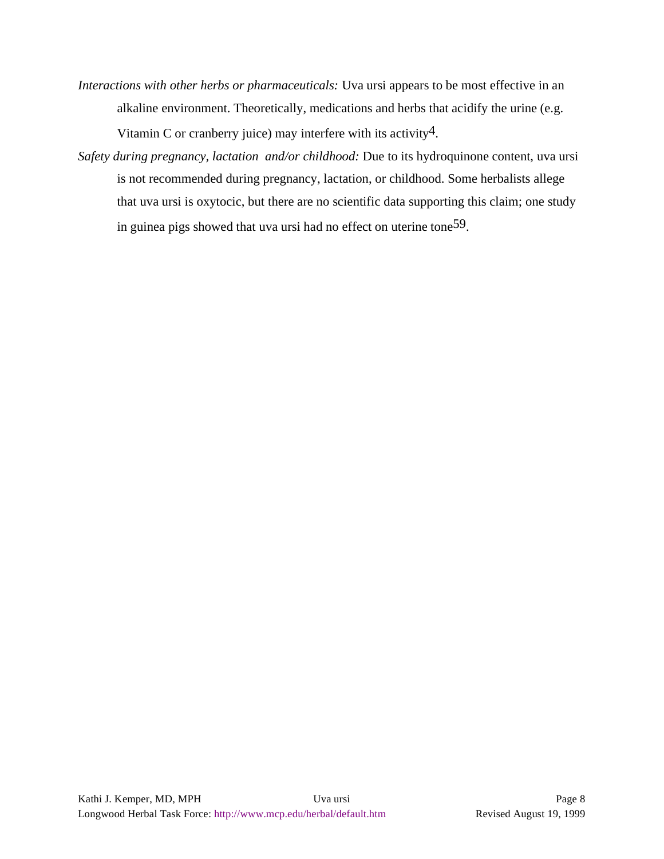*Interactions with other herbs or pharmaceuticals:* Uva ursi appears to be most effective in an alkaline environment. Theoretically, medications and herbs that acidify the urine (e.g.

Vitamin C or cranberry juice) may interfere with its activity4.

*Safety during pregnancy, lactation and/or childhood:* Due to its hydroquinone content, uva ursi is not recommended during pregnancy, lactation, or childhood. Some herbalists allege that uva ursi is oxytocic, but there are no scientific data supporting this claim; one study in guinea pigs showed that uva ursi had no effect on uterine tone59.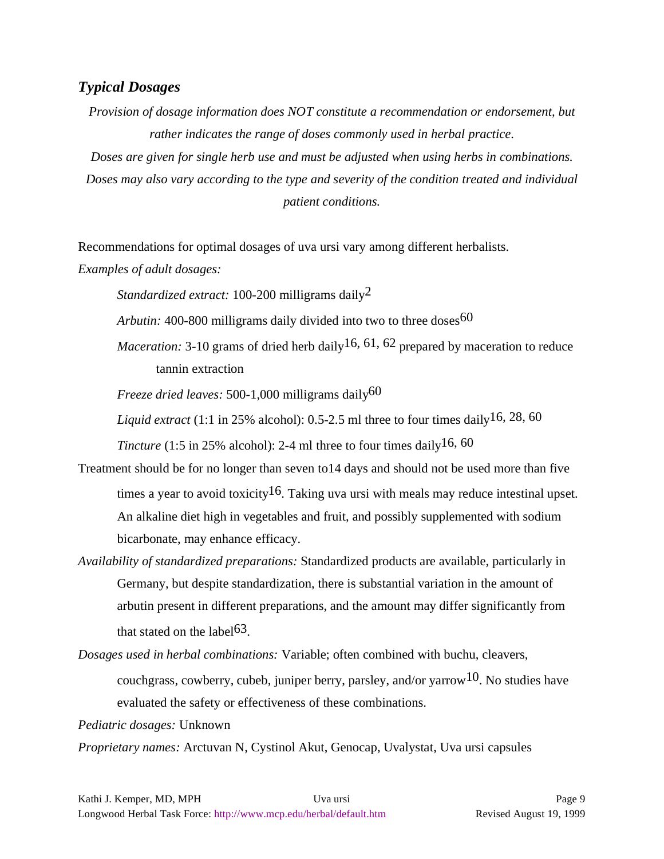### *Typical Dosages*

*Provision of dosage information does NOT constitute a recommendation or endorsement, but rather indicates the range of doses commonly used in herbal practice.*

*Doses are given for single herb use and must be adjusted when using herbs in combinations. Doses may also vary according to the type and severity of the condition treated and individual patient conditions.*

Recommendations for optimal dosages of uva ursi vary among different herbalists.

*Examples of adult dosages:*

*Standardized extract:* 100-200 milligrams daily2

- *Arbutin:* 400-800 milligrams daily divided into two to three doses  $60$
- *Maceration:* 3-10 grams of dried herb daily  $16, 61, 62$  prepared by maceration to reduce tannin extraction

*Freeze dried leaves:* 500-1,000 milligrams daily<sup>60</sup>

*Liquid extract* (1:1 in 25% alcohol): 0.5-2.5 ml three to four times daily<sup>16, 28, 60</sup>

*Tincture* (1:5 in 25% alcohol): 2-4 ml three to four times daily  $16, 60$ 

- Treatment should be for no longer than seven to14 days and should not be used more than five times a year to avoid toxicity<sup>16</sup>. Taking uva ursi with meals may reduce intestinal upset. An alkaline diet high in vegetables and fruit, and possibly supplemented with sodium bicarbonate, may enhance efficacy.
- *Availability of standardized preparations:* Standardized products are available, particularly in Germany, but despite standardization, there is substantial variation in the amount of arbutin present in different preparations, and the amount may differ significantly from that stated on the label<sup>63</sup>.

*Dosages used in herbal combinations:* Variable; often combined with buchu, cleavers, couchgrass, cowberry, cubeb, juniper berry, parsley, and/or varrow<sup>10</sup>. No studies have evaluated the safety or effectiveness of these combinations.

*Pediatric dosages:* Unknown

*Proprietary names:* Arctuvan N, Cystinol Akut, Genocap, Uvalystat, Uva ursi capsules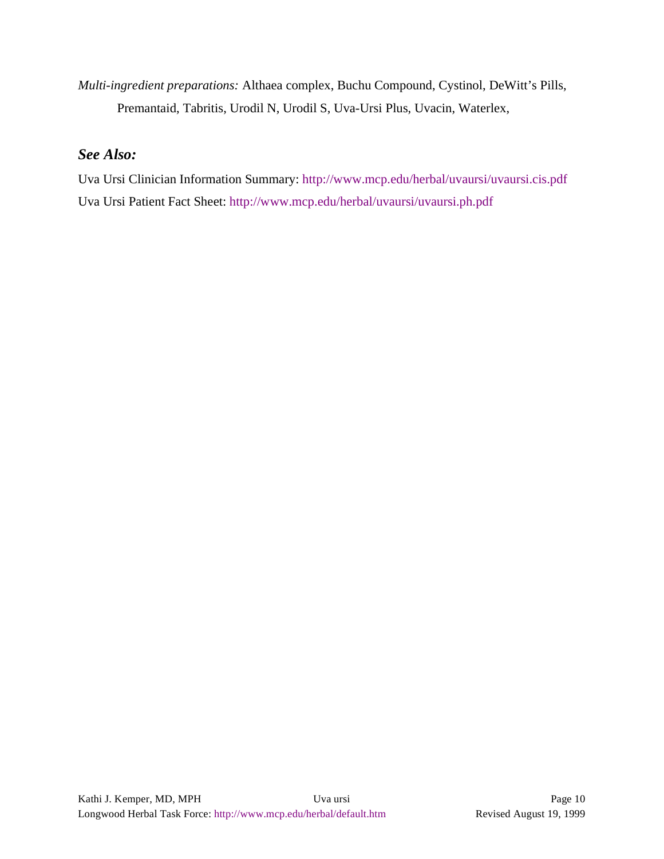*Multi-ingredient preparations:* Althaea complex, Buchu Compound, Cystinol, DeWitt's Pills, Premantaid, Tabritis, Urodil N, Urodil S, Uva-Ursi Plus, Uvacin, Waterlex,

# *See Also:*

Uva Ursi Clinician Information Summary: http://www.mcp.edu/herbal/uvaursi/uvaursi.cis.pdf Uva Ursi Patient Fact Sheet: http://www.mcp.edu/herbal/uvaursi/uvaursi.ph.pdf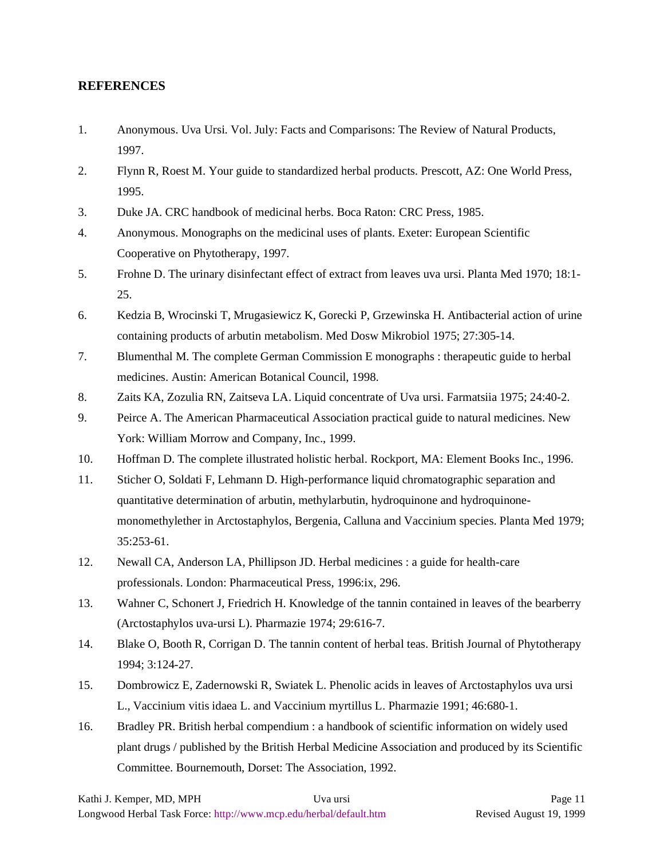#### **REFERENCES**

- 1. Anonymous. Uva Ursi. Vol. July: Facts and Comparisons: The Review of Natural Products, 1997.
- 2. Flynn R, Roest M. Your guide to standardized herbal products. Prescott, AZ: One World Press, 1995.
- 3. Duke JA. CRC handbook of medicinal herbs. Boca Raton: CRC Press, 1985.
- 4. Anonymous. Monographs on the medicinal uses of plants. Exeter: European Scientific Cooperative on Phytotherapy, 1997.
- 5. Frohne D. The urinary disinfectant effect of extract from leaves uva ursi. Planta Med 1970; 18:1- 25.
- 6. Kedzia B, Wrocinski T, Mrugasiewicz K, Gorecki P, Grzewinska H. Antibacterial action of urine containing products of arbutin metabolism. Med Dosw Mikrobiol 1975; 27:305-14.
- 7. Blumenthal M. The complete German Commission E monographs : therapeutic guide to herbal medicines. Austin: American Botanical Council, 1998.
- 8. Zaits KA, Zozulia RN, Zaitseva LA. Liquid concentrate of Uva ursi. Farmatsiia 1975; 24:40-2.
- 9. Peirce A. The American Pharmaceutical Association practical guide to natural medicines. New York: William Morrow and Company, Inc., 1999.
- 10. Hoffman D. The complete illustrated holistic herbal. Rockport, MA: Element Books Inc., 1996.
- 11. Sticher O, Soldati F, Lehmann D. High-performance liquid chromatographic separation and quantitative determination of arbutin, methylarbutin, hydroquinone and hydroquinonemonomethylether in Arctostaphylos, Bergenia, Calluna and Vaccinium species. Planta Med 1979; 35:253-61.
- 12. Newall CA, Anderson LA, Phillipson JD. Herbal medicines : a guide for health-care professionals. London: Pharmaceutical Press, 1996:ix, 296.
- 13. Wahner C, Schonert J, Friedrich H. Knowledge of the tannin contained in leaves of the bearberry (Arctostaphylos uva-ursi L). Pharmazie 1974; 29:616-7.
- 14. Blake O, Booth R, Corrigan D. The tannin content of herbal teas. British Journal of Phytotherapy 1994; 3:124-27.
- 15. Dombrowicz E, Zadernowski R, Swiatek L. Phenolic acids in leaves of Arctostaphylos uva ursi L., Vaccinium vitis idaea L. and Vaccinium myrtillus L. Pharmazie 1991; 46:680-1.
- 16. Bradley PR. British herbal compendium : a handbook of scientific information on widely used plant drugs / published by the British Herbal Medicine Association and produced by its Scientific Committee. Bournemouth, Dorset: The Association, 1992.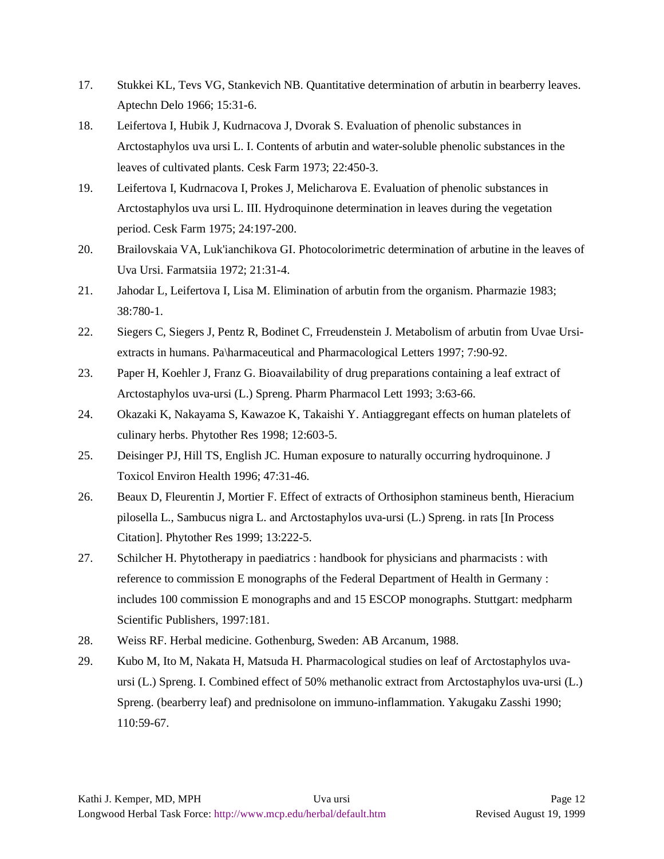- 17. Stukkei KL, Tevs VG, Stankevich NB. Quantitative determination of arbutin in bearberry leaves. Aptechn Delo 1966; 15:31-6.
- 18. Leifertova I, Hubik J, Kudrnacova J, Dvorak S. Evaluation of phenolic substances in Arctostaphylos uva ursi L. I. Contents of arbutin and water-soluble phenolic substances in the leaves of cultivated plants. Cesk Farm 1973; 22:450-3.
- 19. Leifertova I, Kudrnacova I, Prokes J, Melicharova E. Evaluation of phenolic substances in Arctostaphylos uva ursi L. III. Hydroquinone determination in leaves during the vegetation period. Cesk Farm 1975; 24:197-200.
- 20. Brailovskaia VA, Luk'ianchikova GI. Photocolorimetric determination of arbutine in the leaves of Uva Ursi. Farmatsiia 1972; 21:31-4.
- 21. Jahodar L, Leifertova I, Lisa M. Elimination of arbutin from the organism. Pharmazie 1983; 38:780-1.
- 22. Siegers C, Siegers J, Pentz R, Bodinet C, Frreudenstein J. Metabolism of arbutin from Uvae Ursiextracts in humans. Pa\harmaceutical and Pharmacological Letters 1997; 7:90-92.
- 23. Paper H, Koehler J, Franz G. Bioavailability of drug preparations containing a leaf extract of Arctostaphylos uva-ursi (L.) Spreng. Pharm Pharmacol Lett 1993; 3:63-66.
- 24. Okazaki K, Nakayama S, Kawazoe K, Takaishi Y. Antiaggregant effects on human platelets of culinary herbs. Phytother Res 1998; 12:603-5.
- 25. Deisinger PJ, Hill TS, English JC. Human exposure to naturally occurring hydroquinone. J Toxicol Environ Health 1996; 47:31-46.
- 26. Beaux D, Fleurentin J, Mortier F. Effect of extracts of Orthosiphon stamineus benth, Hieracium pilosella L., Sambucus nigra L. and Arctostaphylos uva-ursi (L.) Spreng. in rats [In Process Citation]. Phytother Res 1999; 13:222-5.
- 27. Schilcher H. Phytotherapy in paediatrics : handbook for physicians and pharmacists : with reference to commission E monographs of the Federal Department of Health in Germany : includes 100 commission E monographs and and 15 ESCOP monographs. Stuttgart: medpharm Scientific Publishers, 1997:181.
- 28. Weiss RF. Herbal medicine. Gothenburg, Sweden: AB Arcanum, 1988.
- 29. Kubo M, Ito M, Nakata H, Matsuda H. Pharmacological studies on leaf of Arctostaphylos uvaursi (L.) Spreng. I. Combined effect of 50% methanolic extract from Arctostaphylos uva-ursi (L.) Spreng. (bearberry leaf) and prednisolone on immuno-inflammation. Yakugaku Zasshi 1990; 110:59-67.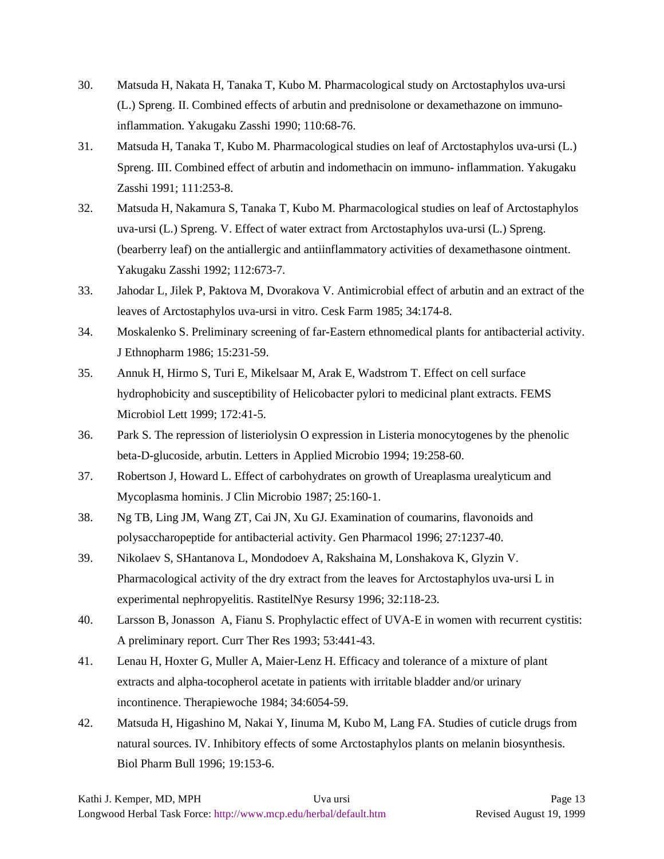- 30. Matsuda H, Nakata H, Tanaka T, Kubo M. Pharmacological study on Arctostaphylos uva-ursi (L.) Spreng. II. Combined effects of arbutin and prednisolone or dexamethazone on immunoinflammation. Yakugaku Zasshi 1990; 110:68-76.
- 31. Matsuda H, Tanaka T, Kubo M. Pharmacological studies on leaf of Arctostaphylos uva-ursi (L.) Spreng. III. Combined effect of arbutin and indomethacin on immuno- inflammation. Yakugaku Zasshi 1991; 111:253-8.
- 32. Matsuda H, Nakamura S, Tanaka T, Kubo M. Pharmacological studies on leaf of Arctostaphylos uva-ursi (L.) Spreng. V. Effect of water extract from Arctostaphylos uva-ursi (L.) Spreng. (bearberry leaf) on the antiallergic and antiinflammatory activities of dexamethasone ointment. Yakugaku Zasshi 1992; 112:673-7.
- 33. Jahodar L, Jilek P, Paktova M, Dvorakova V. Antimicrobial effect of arbutin and an extract of the leaves of Arctostaphylos uva-ursi in vitro. Cesk Farm 1985; 34:174-8.
- 34. Moskalenko S. Preliminary screening of far-Eastern ethnomedical plants for antibacterial activity. J Ethnopharm 1986; 15:231-59.
- 35. Annuk H, Hirmo S, Turi E, Mikelsaar M, Arak E, Wadstrom T. Effect on cell surface hydrophobicity and susceptibility of Helicobacter pylori to medicinal plant extracts. FEMS Microbiol Lett 1999; 172:41-5.
- 36. Park S. The repression of listeriolysin O expression in Listeria monocytogenes by the phenolic beta-D-glucoside, arbutin. Letters in Applied Microbio 1994; 19:258-60.
- 37. Robertson J, Howard L. Effect of carbohydrates on growth of Ureaplasma urealyticum and Mycoplasma hominis. J Clin Microbio 1987; 25:160-1.
- 38. Ng TB, Ling JM, Wang ZT, Cai JN, Xu GJ. Examination of coumarins, flavonoids and polysaccharopeptide for antibacterial activity. Gen Pharmacol 1996; 27:1237-40.
- 39. Nikolaev S, SHantanova L, Mondodoev A, Rakshaina M, Lonshakova K, Glyzin V. Pharmacological activity of the dry extract from the leaves for Arctostaphylos uva-ursi L in experimental nephropyelitis. RastitelNye Resursy 1996; 32:118-23.
- 40. Larsson B, Jonasson A, Fianu S. Prophylactic effect of UVA-E in women with recurrent cystitis: A preliminary report. Curr Ther Res 1993; 53:441-43.
- 41. Lenau H, Hoxter G, Muller A, Maier-Lenz H. Efficacy and tolerance of a mixture of plant extracts and alpha-tocopherol acetate in patients with irritable bladder and/or urinary incontinence. Therapiewoche 1984; 34:6054-59.
- 42. Matsuda H, Higashino M, Nakai Y, Iinuma M, Kubo M, Lang FA. Studies of cuticle drugs from natural sources. IV. Inhibitory effects of some Arctostaphylos plants on melanin biosynthesis. Biol Pharm Bull 1996; 19:153-6.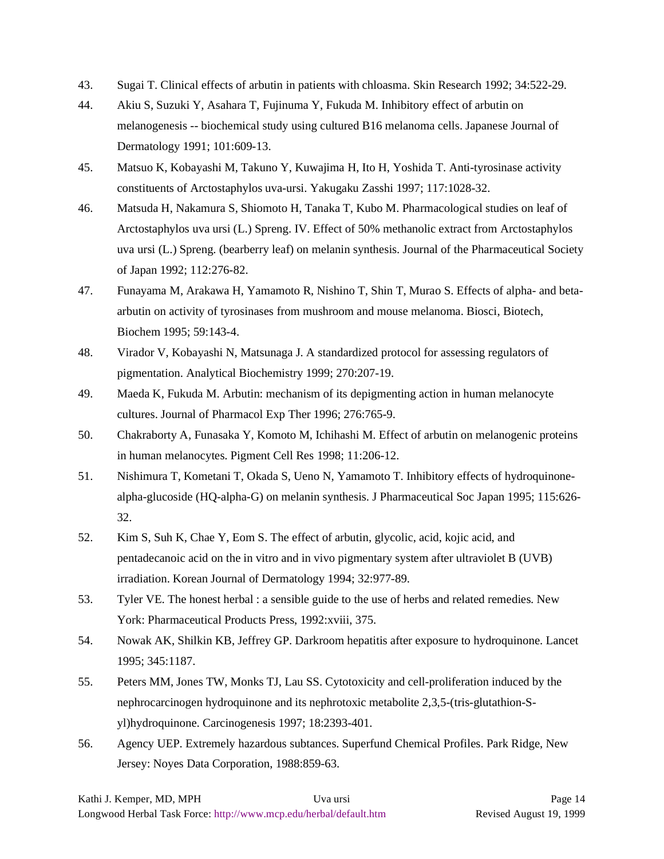- 43. Sugai T. Clinical effects of arbutin in patients with chloasma. Skin Research 1992; 34:522-29.
- 44. Akiu S, Suzuki Y, Asahara T, Fujinuma Y, Fukuda M. Inhibitory effect of arbutin on melanogenesis -- biochemical study using cultured B16 melanoma cells. Japanese Journal of Dermatology 1991; 101:609-13.
- 45. Matsuo K, Kobayashi M, Takuno Y, Kuwajima H, Ito H, Yoshida T. Anti-tyrosinase activity constituents of Arctostaphylos uva-ursi. Yakugaku Zasshi 1997; 117:1028-32.
- 46. Matsuda H, Nakamura S, Shiomoto H, Tanaka T, Kubo M. Pharmacological studies on leaf of Arctostaphylos uva ursi (L.) Spreng. IV. Effect of 50% methanolic extract from Arctostaphylos uva ursi (L.) Spreng. (bearberry leaf) on melanin synthesis. Journal of the Pharmaceutical Society of Japan 1992; 112:276-82.
- 47. Funayama M, Arakawa H, Yamamoto R, Nishino T, Shin T, Murao S. Effects of alpha- and betaarbutin on activity of tyrosinases from mushroom and mouse melanoma. Biosci, Biotech, Biochem 1995; 59:143-4.
- 48. Virador V, Kobayashi N, Matsunaga J. A standardized protocol for assessing regulators of pigmentation. Analytical Biochemistry 1999; 270:207-19.
- 49. Maeda K, Fukuda M. Arbutin: mechanism of its depigmenting action in human melanocyte cultures. Journal of Pharmacol Exp Ther 1996; 276:765-9.
- 50. Chakraborty A, Funasaka Y, Komoto M, Ichihashi M. Effect of arbutin on melanogenic proteins in human melanocytes. Pigment Cell Res 1998; 11:206-12.
- 51. Nishimura T, Kometani T, Okada S, Ueno N, Yamamoto T. Inhibitory effects of hydroquinonealpha-glucoside (HQ-alpha-G) on melanin synthesis. J Pharmaceutical Soc Japan 1995; 115:626- 32.
- 52. Kim S, Suh K, Chae Y, Eom S. The effect of arbutin, glycolic, acid, kojic acid, and pentadecanoic acid on the in vitro and in vivo pigmentary system after ultraviolet B (UVB) irradiation. Korean Journal of Dermatology 1994; 32:977-89.
- 53. Tyler VE. The honest herbal : a sensible guide to the use of herbs and related remedies. New York: Pharmaceutical Products Press, 1992:xviii, 375.
- 54. Nowak AK, Shilkin KB, Jeffrey GP. Darkroom hepatitis after exposure to hydroquinone. Lancet 1995; 345:1187.
- 55. Peters MM, Jones TW, Monks TJ, Lau SS. Cytotoxicity and cell-proliferation induced by the nephrocarcinogen hydroquinone and its nephrotoxic metabolite 2,3,5-(tris-glutathion-Syl)hydroquinone. Carcinogenesis 1997; 18:2393-401.
- 56. Agency UEP. Extremely hazardous subtances. Superfund Chemical Profiles. Park Ridge, New Jersey: Noyes Data Corporation, 1988:859-63.